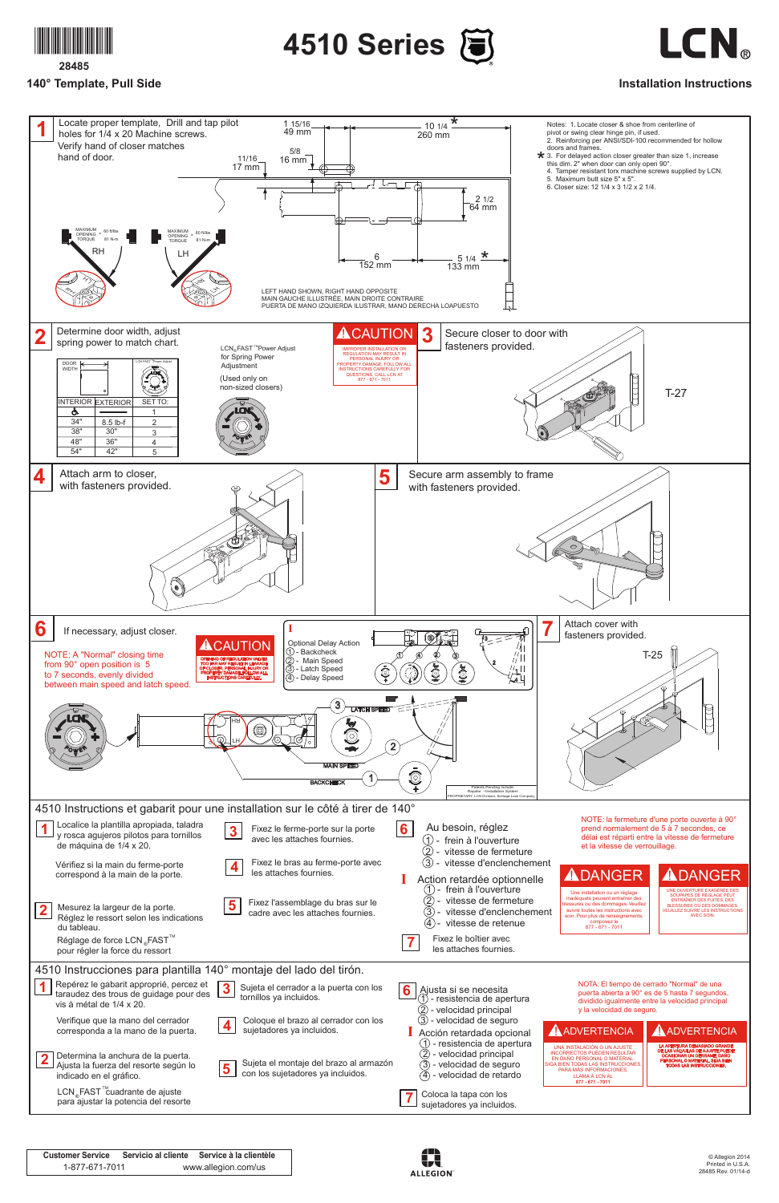

**28485**

© Allegion 2014 Printed in U.S.A. 28485 Rev. 01/14-d

## **140° Template, Pull Side**





## **Installation Instructions**

| <b>Customer Service</b> | Servicio al cliente | Service à la clientèle |
|-------------------------|---------------------|------------------------|
| 1-877-671-7011          |                     | www.allegion.com/us    |





|                         | Mesurez la largeur de la porte.<br>Réglez le ressort selon les indications<br>du tableau.<br>Réglage de force LCN "FAST <sup>"</sup><br>pour régler la force du ressort | 5                       | Fixez l'assemblage du bras sur le<br>cadre avec les attaches fournies.      |             | (1) - frein à l'ouverture<br>vitesse de fermeture<br>$\left( 2\right)$<br>$\rm(3)$<br>vitesse d'enclenchement<br>vitesse de retenue<br>(4)<br>Fixez le boîtier avec<br>les attaches fournies. |  | Une installation ou un réglage<br>inadéquats peuvent entraîner des<br>plessures ou des dommages. Veuillez<br>suivre toutes les instructions avec<br>soin. Pour plus de renseignements.<br>composez le<br>877 - 671 - 7011 |  | UNE OUVERTURE EXAGÉRÉE DES<br>SOUPAPES DE RÉGLAGE PEUT<br><b>ENTRAÎNER DES FUITES, DES</b><br><b>BLESSURES OU DES DOMMAGES</b><br><b>VEUILLEZ SUIVRE LES INSTRUCTIONS</b><br><b>AVEC SOIN.</b> |  |
|-------------------------|-------------------------------------------------------------------------------------------------------------------------------------------------------------------------|-------------------------|-----------------------------------------------------------------------------|-------------|-----------------------------------------------------------------------------------------------------------------------------------------------------------------------------------------------|--|---------------------------------------------------------------------------------------------------------------------------------------------------------------------------------------------------------------------------|--|------------------------------------------------------------------------------------------------------------------------------------------------------------------------------------------------|--|
|                         | 4510 Instrucciones para plantilla 140° montaje del lado del tirón.                                                                                                      |                         |                                                                             |             |                                                                                                                                                                                               |  |                                                                                                                                                                                                                           |  |                                                                                                                                                                                                |  |
|                         | Repérez le gabarit approprié, percez et<br>taraudez des trous de guidage pour des<br>vis à métal de 1/4 x 20.                                                           | $\boldsymbol{3}$        | Sujeta el cerrador a la puerta con los<br>tornillos ya incluidos.           | $6^{\circ}$ | Ajusta si se necesita<br>) - resistencia de apertura<br>- velocidad principal                                                                                                                 |  | NOTA: El tiempo de cerrado "Normal" de una<br>puerta abierta a 90° es de 5 hasta 7 segundos,<br>dividido igualmente entre la velocidad principal<br>y la velocidad de seguro.                                             |  |                                                                                                                                                                                                |  |
|                         | Verifique que la mano del cerrador<br>corresponda a la mano de la puerta.                                                                                               | $\overline{\mathbf{4}}$ | Coloque el brazo al cerrador con los<br>sujetadores ya incluidos.           |             | 3) - velocidad de seguro<br>Acción retardada opcional<br>$(1)$ - resistencia de apertura                                                                                                      |  | AADVERTENCIA                                                                                                                                                                                                              |  | AADVERTENCIA                                                                                                                                                                                   |  |
| $\overline{\mathbf{2}}$ | Determina la anchura de la puerta.<br>Ajusta la fuerza del resorte según lo<br>indicado en el gráfico.                                                                  | $5\overline{)}$         | Sujeta el montaje del brazo al armazón<br>con los sujetadores ya incluidos. |             | (2) - velocidad principal<br>3) - velocidad de seguro<br>4) - velocidad de retardo                                                                                                            |  | UNA INSTALACIÓN O UN AJUSTE<br><b>INCORRECTOS PUEDEN RESULTAR</b><br>EN DAÑO PERSONAL O MATERIAL<br>SIGA BIEN TODAS LAS INSTRUCCIONES<br>PARA MÁS INFORMACIONES.<br><b>LLAMA A LCN AL</b><br>877 - 671 - 7011             |  | LA APERTURA DEMASIADO GRANDE<br>DE LAS VÁLVULAS DE AJUSTE PUEDE<br><b>OCASIONAR UN DERRAME, DAÑO</b><br>PERSONAL O MATERIAL. SIGA BIEN<br><b>TODAS LAS INSTRUCCIONES</b>                       |  |
|                         | LCN <sub>®</sub> FAST <sup>™</sup> cuadrante de ajuste<br>para ajustar la potencia del resorte                                                                          |                         |                                                                             |             | Coloca la tapa con los<br>sujetadores ya incluidos.                                                                                                                                           |  |                                                                                                                                                                                                                           |  |                                                                                                                                                                                                |  |
|                         |                                                                                                                                                                         |                         |                                                                             |             |                                                                                                                                                                                               |  |                                                                                                                                                                                                                           |  |                                                                                                                                                                                                |  |